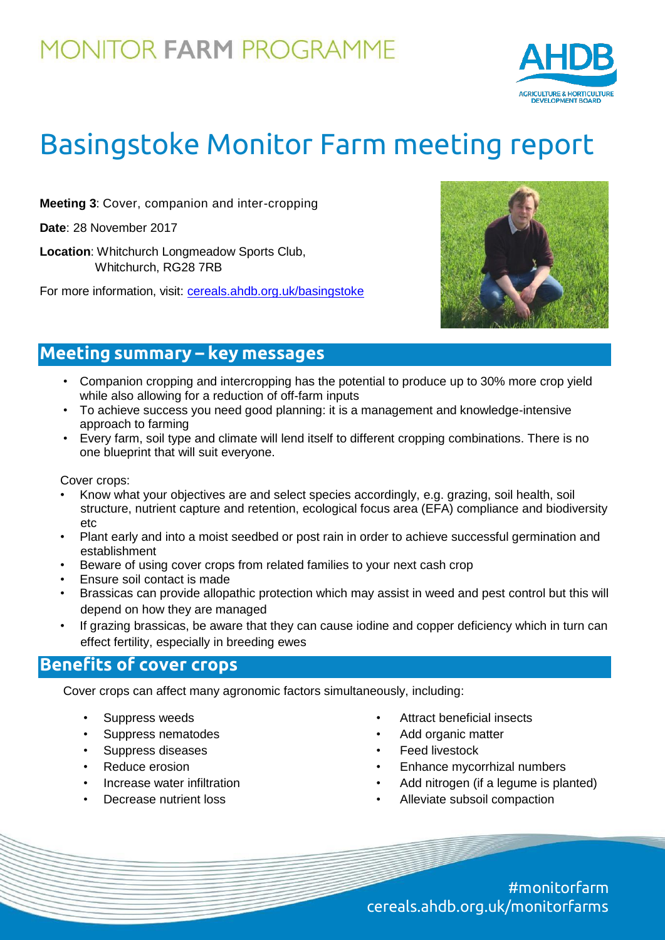## **MONITOR FARM PROGRAMME**



# Basingstoke Monitor Farm meeting report

**Meeting 3**: Cover, companion and inter-cropping

**Date**: 28 November 2017

**Location**: Whitchurch Longmeadow Sports Club, Whitchurch, RG28 7RB

For more information, visit: [cereals.ahdb.org.uk/basingstoke](https://cereals.ahdb.org.uk/basingstoke)



## **Meeting summary – key messages**

- Companion cropping and intercropping has the potential to produce up to 30% more crop yield while also allowing for a reduction of off-farm inputs
- To achieve success you need good planning: it is a management and knowledge-intensive approach to farming
- Every farm, soil type and climate will lend itself to different cropping combinations. There is no one blueprint that will suit everyone.

Cover crops:

- Know what your objectives are and select species accordingly, e.g. grazing, soil health, soil structure, nutrient capture and retention, ecological focus area (EFA) compliance and biodiversity etc
- Plant early and into a moist seedbed or post rain in order to achieve successful germination and establishment
- Beware of using cover crops from related families to your next cash crop
- Ensure soil contact is made
- Brassicas can provide allopathic protection which may assist in weed and pest control but this will depend on how they are managed
- If grazing brassicas, be aware that they can cause iodine and copper deficiency which in turn can effect fertility, especially in breeding ewes

### **Benefits of cover crops**

Cover crops can affect many agronomic factors simultaneously, including:

- Suppress weeds
- Suppress nematodes
- Suppress diseases
- Reduce erosion
- Increase water infiltration
- Decrease nutrient loss
- Attract beneficial insects
- Add organic matter
- **Feed livestock**
- Enhance mycorrhizal numbers
- Add nitrogen (if a legume is planted)
- Alleviate subsoil compaction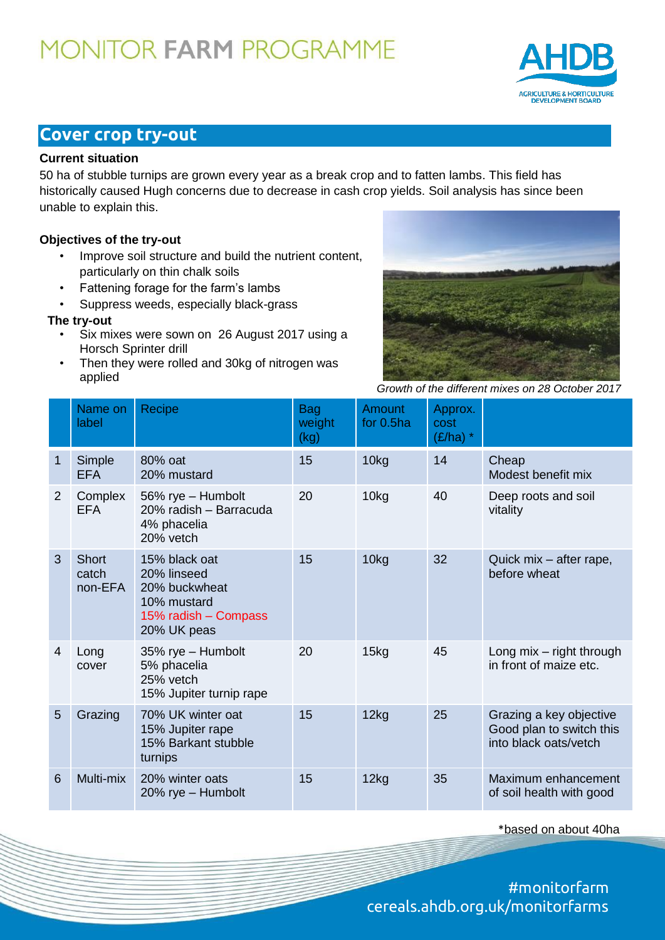# **MONITOR FARM PROGRAMME**



## **Cover crop try-out**

#### **Current situation**

50 ha of stubble turnips are grown every year as a break crop and to fatten lambs. This field has historically caused Hugh concerns due to decrease in cash crop yields. Soil analysis has since been unable to explain this.

#### **Objectives of the try-out**

- Improve soil structure and build the nutrient content, particularly on thin chalk soils
- Fattening forage for the farm's lambs
- Suppress weeds, especially black-grass

#### **The try-out**

- Six mixes were sown on 26 August 2017 using a Horsch Sprinter drill
- Then they were rolled and 30kg of nitrogen was applied



*Growth of the different mixes on 28 October 2017*

|                | Name on<br>label                 | Recipe                                                                                              | <b>Bag</b><br>weight<br>(kg) | <b>Amount</b><br>for 0.5ha | Approx.<br>cost<br>$(E/ha)$ * |                                                                              |
|----------------|----------------------------------|-----------------------------------------------------------------------------------------------------|------------------------------|----------------------------|-------------------------------|------------------------------------------------------------------------------|
| 1              | Simple<br><b>EFA</b>             | 80% oat<br>20% mustard                                                                              | 15                           | 10kg                       | 14                            | Cheap<br>Modest benefit mix                                                  |
| $\overline{2}$ | Complex<br><b>EFA</b>            | 56% rye - Humbolt<br>20% radish - Barracuda<br>4% phacelia<br>20% vetch                             | 20                           | 10kg                       | 40                            | Deep roots and soil<br>vitality                                              |
| 3              | <b>Short</b><br>catch<br>non-EFA | 15% black oat<br>20% linseed<br>20% buckwheat<br>10% mustard<br>15% radish - Compass<br>20% UK peas | 15                           | 10kg                       | 32                            | Quick mix - after rape,<br>before wheat                                      |
| 4              | Long<br>cover                    | 35% rye - Humbolt<br>5% phacelia<br>25% vetch<br>15% Jupiter turnip rape                            | 20                           | 15kg                       | 45                            | Long $mix$ – right through<br>in front of maize etc.                         |
| 5              | Grazing                          | 70% UK winter oat<br>15% Jupiter rape<br>15% Barkant stubble<br>turnips                             | 15                           | 12kg                       | 25                            | Grazing a key objective<br>Good plan to switch this<br>into black oats/vetch |
| 6              | Multi-mix                        | 20% winter oats<br>20% rye - Humbolt                                                                | 15                           | 12kg                       | 35                            | Maximum enhancement<br>of soil health with good                              |

\*based on about 40ha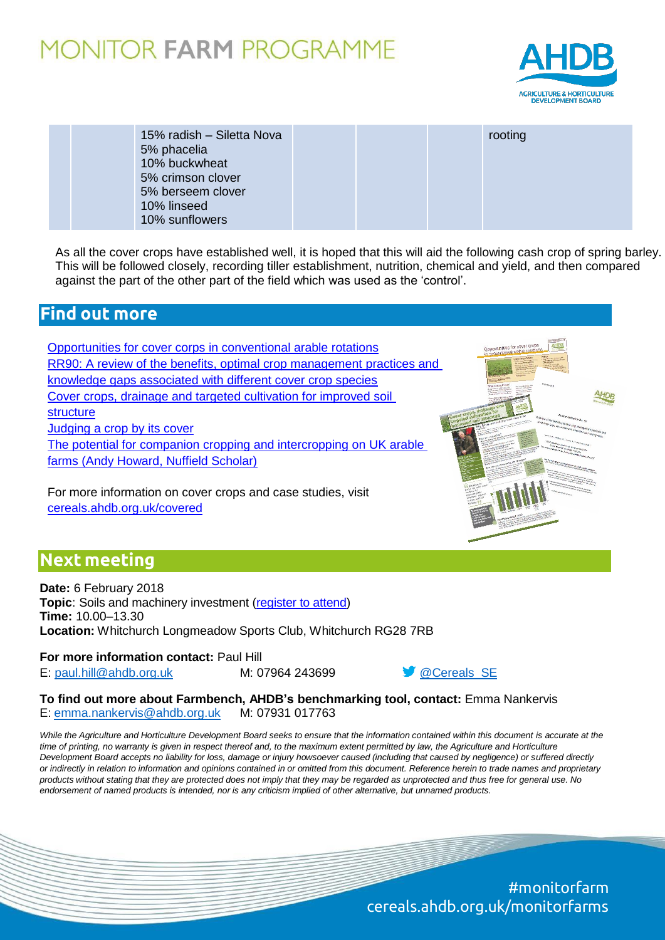## **10NITOR FARM PROGRAMME**



| 15% radish - Siletta Nova<br>5% phacelia<br>10% buckwheat<br>5% crimson clover<br>5% berseem clover | rooting |
|-----------------------------------------------------------------------------------------------------|---------|
| 10% linseed<br>10% sunflowers                                                                       |         |

As all the cover crops have established well, it is hoped that this will aid the following cash crop of spring barley. This will be followed closely, recording tiller establishment, nutrition, chemical and yield, and then compared against the part of the other part of the field which was used as the 'control'.

### **Find out more**

[Opportunities for cover corps in conventional arable rotations](https://cereals.ahdb.org.uk/media/655816/is41-opportunities-for-cover-crops-in-conventional-arable-rotations.pdf) [RR90: A review of the benefits, optimal crop management](https://cereals.ahdb.org.uk/publications/2016/december/19/a-review-of-the-benefits,-optimal-crop-management-practices-and-knowledge-gaps-associated-with-different-cover-crop-species.aspx) practices and [knowledge gaps associated with different cover crop species](https://cereals.ahdb.org.uk/publications/2016/december/19/a-review-of-the-benefits,-optimal-crop-management-practices-and-knowledge-gaps-associated-with-different-cover-crop-species.aspx) [Cover crops, drainage and targeted cultivation for improved soil](https://cereals.ahdb.org.uk/media/1083435/4_Phil-Jarvis.pdf)  [structure](https://cereals.ahdb.org.uk/media/1083435/4_Phil-Jarvis.pdf) [Judging a crop by its cover](https://cereals.ahdb.org.uk/media/678357/T2F-June-2015-%E2%80%93-Cover-Crops.pdf) [The potential for companion cropping and intercropping on](http://www.nuffieldinternational.org/rep_pdf/1474016405Andrew-Howard-report-2015.pdf) UK arable [farms \(Andy Howard, Nuffield Scholar\)](http://www.nuffieldinternational.org/rep_pdf/1474016405Andrew-Howard-report-2015.pdf)

For more information on cover crops and case studies, visit

[cereals.ahdb.org.uk/covered](https://cereals.ahdb.org.uk/covered/)

### **Next meeting**

**Date:** 6 February 2018 **Topic**: Soils and machinery investment [\(register to attend\)](https://cereals.ahdb.org.uk/get-involved/monitorfarms/basingstoke-monitor-farm.aspx) **Time:** 10.00–13.30 **Location:** Whitchurch Longmeadow Sports Club, Whitchurch RG28 7RB

**For more information contact:** Paul Hill E: [paul.hill@ahdb.org.uk](mailto:paul.hill@ahdb.org.uk) M: 07964 243699 and M: 07964 243699

**To find out more about Farmbench, AHDB's benchmarking tool, contact:** Emma Nankervis E: [emma.nankervis@ahdb.org.uk](mailto:emma.nankervis@ahdb.org.uk) M: 07931 017763

While the Agriculture and Horticulture Development Board seeks to ensure that the information contained within this document is accurate at the time of printing, no warranty is given in respect thereof and, to the maximum extent permitted by law, the Agriculture and Horticulture Development Board accepts no liability for loss, damage or injury howsoever caused (including that caused by negligence) or suffered directly *or indirectly in relation to information and opinions contained in or omitted from this document. Reference herein to trade names and proprietary*  products without stating that they are protected does not imply that they may be regarded as unprotected and thus free for general use. No *endorsement of named products is intended, nor is any criticism implied of other alternative, but unnamed products.*